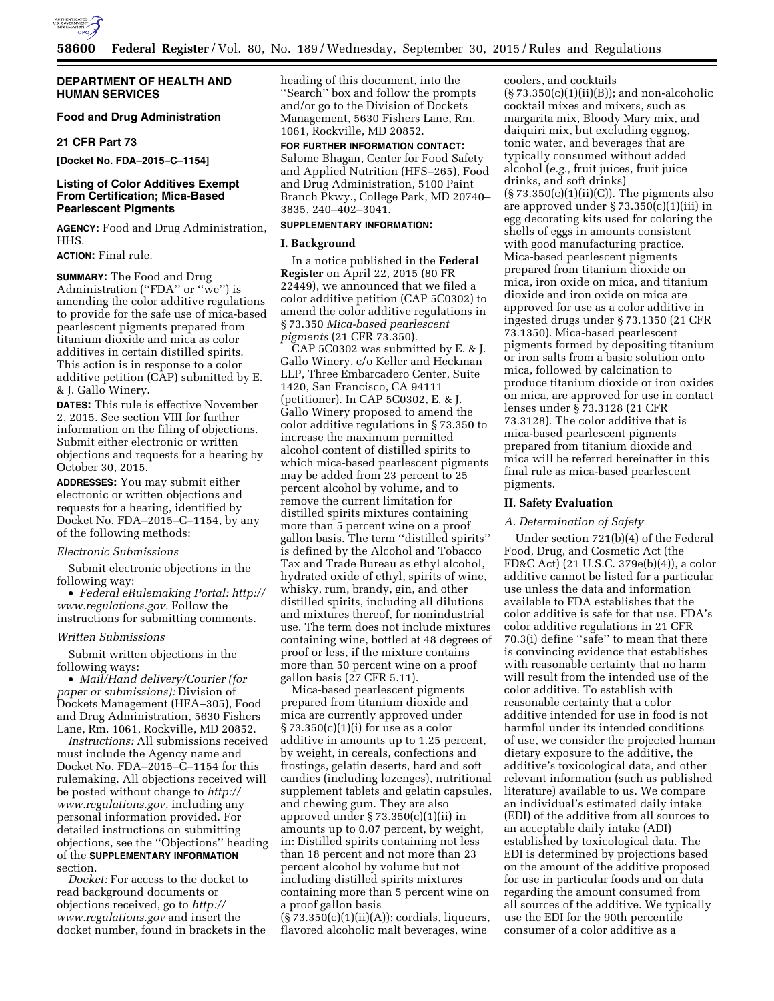

# **DEPARTMENT OF HEALTH AND HUMAN SERVICES**

# **Food and Drug Administration**

## **21 CFR Part 73**

**[Docket No. FDA–2015–C–1154]** 

# **Listing of Color Additives Exempt From Certification; Mica-Based Pearlescent Pigments**

**AGENCY:** Food and Drug Administration, HHS.

# **ACTION:** Final rule.

**SUMMARY:** The Food and Drug Administration ("FDA" or "we") is amending the color additive regulations to provide for the safe use of mica-based pearlescent pigments prepared from titanium dioxide and mica as color additives in certain distilled spirits. This action is in response to a color additive petition (CAP) submitted by E. & J. Gallo Winery.

**DATES:** This rule is effective November 2, 2015. See section VIII for further information on the filing of objections. Submit either electronic or written objections and requests for a hearing by October 30, 2015.

**ADDRESSES:** You may submit either electronic or written objections and requests for a hearing, identified by Docket No. FDA–2015–C–1154, by any of the following methods:

#### *Electronic Submissions*

Submit electronic objections in the following way:

• *Federal eRulemaking Portal: [http://](http://www.regulations.gov)  [www.regulations.gov.](http://www.regulations.gov)* Follow the instructions for submitting comments.

#### *Written Submissions*

Submit written objections in the following ways:

• *Mail/Hand delivery/Courier (for paper or submissions):* Division of Dockets Management (HFA–305), Food and Drug Administration, 5630 Fishers Lane, Rm. 1061, Rockville, MD 20852.

*Instructions:* All submissions received must include the Agency name and Docket No. FDA–2015–C–1154 for this rulemaking. All objections received will be posted without change to *[http://](http://www.regulations.gov) [www.regulations.gov,](http://www.regulations.gov)* including any personal information provided. For detailed instructions on submitting objections, see the ''Objections'' heading of the **SUPPLEMENTARY INFORMATION** section.

*Docket:* For access to the docket to read background documents or objections received, go to *[http://](http://www.regulations.gov) [www.regulations.gov](http://www.regulations.gov)* and insert the docket number, found in brackets in the heading of this document, into the ''Search'' box and follow the prompts and/or go to the Division of Dockets Management, 5630 Fishers Lane, Rm. 1061, Rockville, MD 20852.

# **FOR FURTHER INFORMATION CONTACT:**  Salome Bhagan, Center for Food Safety and Applied Nutrition (HFS–265), Food and Drug Administration, 5100 Paint Branch Pkwy., College Park, MD 20740– 3835, 240–402–3041.

#### **SUPPLEMENTARY INFORMATION:**

### **I. Background**

In a notice published in the **Federal Register** on April 22, 2015 (80 FR 22449), we announced that we filed a color additive petition (CAP 5C0302) to amend the color additive regulations in § 73.350 *Mica-based pearlescent pigments* (21 CFR 73.350).

CAP 5C0302 was submitted by E. & J. Gallo Winery, c/o Keller and Heckman LLP, Three Embarcadero Center, Suite 1420, San Francisco, CA 94111 (petitioner). In CAP 5C0302, E. & J. Gallo Winery proposed to amend the color additive regulations in § 73.350 to increase the maximum permitted alcohol content of distilled spirits to which mica-based pearlescent pigments may be added from 23 percent to 25 percent alcohol by volume, and to remove the current limitation for distilled spirits mixtures containing more than 5 percent wine on a proof gallon basis. The term ''distilled spirits'' is defined by the Alcohol and Tobacco Tax and Trade Bureau as ethyl alcohol, hydrated oxide of ethyl, spirits of wine, whisky, rum, brandy, gin, and other distilled spirits, including all dilutions and mixtures thereof, for nonindustrial use. The term does not include mixtures containing wine, bottled at 48 degrees of proof or less, if the mixture contains more than 50 percent wine on a proof gallon basis (27 CFR 5.11).

Mica-based pearlescent pigments prepared from titanium dioxide and mica are currently approved under § 73.350(c)(1)(i) for use as a color additive in amounts up to 1.25 percent, by weight, in cereals, confections and frostings, gelatin deserts, hard and soft candies (including lozenges), nutritional supplement tablets and gelatin capsules, and chewing gum. They are also approved under  $\S 73.350(c)(1)(ii)$  in amounts up to 0.07 percent, by weight, in: Distilled spirits containing not less than 18 percent and not more than 23 percent alcohol by volume but not including distilled spirits mixtures containing more than 5 percent wine on a proof gallon basis

 $(\S 73.350(c)(1)(ii)(A))$ ; cordials, liqueurs, flavored alcoholic malt beverages, wine

coolers, and cocktails  $(S 73.350(c)(1)(ii)(B))$ ; and non-alcoholic cocktail mixes and mixers, such as margarita mix, Bloody Mary mix, and daiquiri mix, but excluding eggnog, tonic water, and beverages that are typically consumed without added alcohol (*e.g.,* fruit juices, fruit juice drinks, and soft drinks)  $(\S 73.350(c)(1)(ii)(C))$ . The pigments also are approved under  $\S 73.350(c)(1)(iii)$  in egg decorating kits used for coloring the shells of eggs in amounts consistent with good manufacturing practice. Mica-based pearlescent pigments prepared from titanium dioxide on mica, iron oxide on mica, and titanium dioxide and iron oxide on mica are approved for use as a color additive in ingested drugs under § 73.1350 (21 CFR 73.1350). Mica-based pearlescent pigments formed by depositing titanium or iron salts from a basic solution onto mica, followed by calcination to produce titanium dioxide or iron oxides on mica, are approved for use in contact lenses under § 73.3128 (21 CFR 73.3128). The color additive that is mica-based pearlescent pigments prepared from titanium dioxide and mica will be referred hereinafter in this final rule as mica-based pearlescent pigments.

#### **II. Safety Evaluation**

### *A. Determination of Safety*

Under section 721(b)(4) of the Federal Food, Drug, and Cosmetic Act (the FD&C Act) (21 U.S.C. 379e(b)(4)), a color additive cannot be listed for a particular use unless the data and information available to FDA establishes that the color additive is safe for that use. FDA's color additive regulations in 21 CFR 70.3(i) define ''safe'' to mean that there is convincing evidence that establishes with reasonable certainty that no harm will result from the intended use of the color additive. To establish with reasonable certainty that a color additive intended for use in food is not harmful under its intended conditions of use, we consider the projected human dietary exposure to the additive, the additive's toxicological data, and other relevant information (such as published literature) available to us. We compare an individual's estimated daily intake (EDI) of the additive from all sources to an acceptable daily intake (ADI) established by toxicological data. The EDI is determined by projections based on the amount of the additive proposed for use in particular foods and on data regarding the amount consumed from all sources of the additive. We typically use the EDI for the 90th percentile consumer of a color additive as a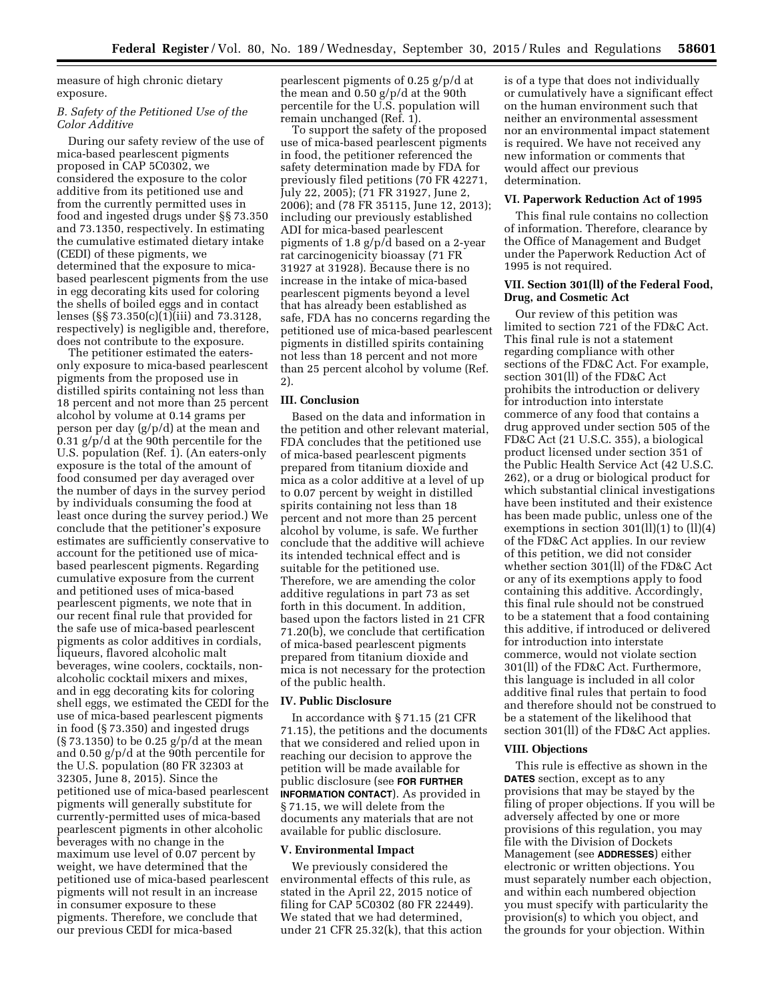measure of high chronic dietary exposure.

# *B. Safety of the Petitioned Use of the Color Additive*

During our safety review of the use of mica-based pearlescent pigments proposed in CAP 5C0302, we considered the exposure to the color additive from its petitioned use and from the currently permitted uses in food and ingested drugs under §§ 73.350 and 73.1350, respectively. In estimating the cumulative estimated dietary intake (CEDI) of these pigments, we determined that the exposure to micabased pearlescent pigments from the use in egg decorating kits used for coloring the shells of boiled eggs and in contact lenses (§§ 73.350(c)(1)(iii) and 73.3128, respectively) is negligible and, therefore, does not contribute to the exposure.

The petitioner estimated the eatersonly exposure to mica-based pearlescent pigments from the proposed use in distilled spirits containing not less than 18 percent and not more than 25 percent alcohol by volume at 0.14 grams per person per day (g/p/d) at the mean and 0.31 g/p/d at the 90th percentile for the U.S. population (Ref. 1). (An eaters-only exposure is the total of the amount of food consumed per day averaged over the number of days in the survey period by individuals consuming the food at least once during the survey period.) We conclude that the petitioner's exposure estimates are sufficiently conservative to account for the petitioned use of micabased pearlescent pigments. Regarding cumulative exposure from the current and petitioned uses of mica-based pearlescent pigments, we note that in our recent final rule that provided for the safe use of mica-based pearlescent pigments as color additives in cordials, liqueurs, flavored alcoholic malt beverages, wine coolers, cocktails, nonalcoholic cocktail mixers and mixes, and in egg decorating kits for coloring shell eggs, we estimated the CEDI for the use of mica-based pearlescent pigments in food (§ 73.350) and ingested drugs (§ 73.1350) to be 0.25 g/p/d at the mean and 0.50 g/p/d at the 90th percentile for the U.S. population (80 FR 32303 at 32305, June 8, 2015). Since the petitioned use of mica-based pearlescent pigments will generally substitute for currently-permitted uses of mica-based pearlescent pigments in other alcoholic beverages with no change in the maximum use level of 0.07 percent by weight, we have determined that the petitioned use of mica-based pearlescent pigments will not result in an increase in consumer exposure to these pigments. Therefore, we conclude that our previous CEDI for mica-based

pearlescent pigments of 0.25 g/p/d at the mean and 0.50 g/p/d at the 90th percentile for the U.S. population will remain unchanged (Ref. 1).

To support the safety of the proposed use of mica-based pearlescent pigments in food, the petitioner referenced the safety determination made by FDA for previously filed petitions (70 FR 42271, July 22, 2005); (71 FR 31927, June 2, 2006); and (78 FR 35115, June 12, 2013); including our previously established ADI for mica-based pearlescent pigments of 1.8 g/p/d based on a 2-year rat carcinogenicity bioassay (71 FR 31927 at 31928). Because there is no increase in the intake of mica-based pearlescent pigments beyond a level that has already been established as safe, FDA has no concerns regarding the petitioned use of mica-based pearlescent pigments in distilled spirits containing not less than 18 percent and not more than 25 percent alcohol by volume (Ref. 2).

### **III. Conclusion**

Based on the data and information in the petition and other relevant material, FDA concludes that the petitioned use of mica-based pearlescent pigments prepared from titanium dioxide and mica as a color additive at a level of up to 0.07 percent by weight in distilled spirits containing not less than 18 percent and not more than 25 percent alcohol by volume, is safe. We further conclude that the additive will achieve its intended technical effect and is suitable for the petitioned use. Therefore, we are amending the color additive regulations in part 73 as set forth in this document. In addition, based upon the factors listed in 21 CFR 71.20(b), we conclude that certification of mica-based pearlescent pigments prepared from titanium dioxide and mica is not necessary for the protection of the public health.

#### **IV. Public Disclosure**

In accordance with § 71.15 (21 CFR 71.15), the petitions and the documents that we considered and relied upon in reaching our decision to approve the petition will be made available for public disclosure (see **FOR FURTHER INFORMATION CONTACT**). As provided in § 71.15, we will delete from the documents any materials that are not available for public disclosure.

### **V. Environmental Impact**

We previously considered the environmental effects of this rule, as stated in the April 22, 2015 notice of filing for CAP 5C0302 (80 FR 22449). We stated that we had determined, under 21 CFR 25.32(k), that this action is of a type that does not individually or cumulatively have a significant effect on the human environment such that neither an environmental assessment nor an environmental impact statement is required. We have not received any new information or comments that would affect our previous determination.

# **VI. Paperwork Reduction Act of 1995**

This final rule contains no collection of information. Therefore, clearance by the Office of Management and Budget under the Paperwork Reduction Act of 1995 is not required.

## **VII. Section 301(ll) of the Federal Food, Drug, and Cosmetic Act**

Our review of this petition was limited to section 721 of the FD&C Act. This final rule is not a statement regarding compliance with other sections of the FD&C Act. For example, section 301(ll) of the FD&C Act prohibits the introduction or delivery for introduction into interstate commerce of any food that contains a drug approved under section 505 of the FD&C Act (21 U.S.C. 355), a biological product licensed under section 351 of the Public Health Service Act (42 U.S.C. 262), or a drug or biological product for which substantial clinical investigations have been instituted and their existence has been made public, unless one of the exemptions in section 301(ll)(1) to (ll)(4) of the FD&C Act applies. In our review of this petition, we did not consider whether section 301(ll) of the FD&C Act or any of its exemptions apply to food containing this additive. Accordingly, this final rule should not be construed to be a statement that a food containing this additive, if introduced or delivered for introduction into interstate commerce, would not violate section 301(ll) of the FD&C Act. Furthermore, this language is included in all color additive final rules that pertain to food and therefore should not be construed to be a statement of the likelihood that section 301(ll) of the FD&C Act applies.

# **VIII. Objections**

This rule is effective as shown in the **DATES** section, except as to any provisions that may be stayed by the filing of proper objections. If you will be adversely affected by one or more provisions of this regulation, you may file with the Division of Dockets Management (see **ADDRESSES**) either electronic or written objections. You must separately number each objection, and within each numbered objection you must specify with particularity the provision(s) to which you object, and the grounds for your objection. Within